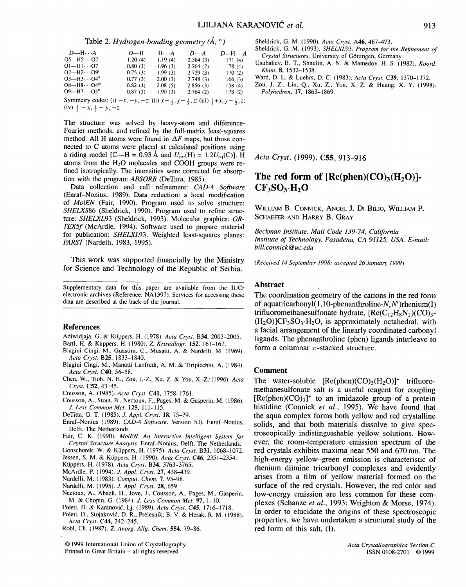**Table** 2. *Hydrogen-bonding geometry (A, o)* 

| $D$ —H $\cdots$ A                                                                                                                         | D-H     | $H \cdot \cdot A$ | $D \cdot \cdot \cdot A$ | $D$ —H $\cdots$ A |  |  |
|-------------------------------------------------------------------------------------------------------------------------------------------|---------|-------------------|-------------------------|-------------------|--|--|
| $O5$ —H5 $\cdot$ · · O7                                                                                                                   | 1.20(4) | 1.19(4)           | 2.384(3)                | 171(4)            |  |  |
| $O[-H1O7]$                                                                                                                                | 0.80(3) | 1.96(3)           | 2.764(2)                | 178(4)            |  |  |
| $O2$ —H $2 \cdot \cdot \cdot \cdot \cdot$ O9'                                                                                             | 0.75(3) | 1.99(3)           | 2.729(3)                | 170(2)            |  |  |
| $O3 - H3 \cdots O4$ "                                                                                                                     | 0.77(3) | 2.00(3)           | 2.748(3)                | 166(3)            |  |  |
| $O8 - H8 \cdots O4$ <sup>111</sup>                                                                                                        | 0.82(4) | 2.08(5)           | 2.856(3)                | 158 (4)           |  |  |
| $O9$ —H7 $\cdots$ O5 <sup>1</sup>                                                                                                         | 0.87(3) | 1.90(3)           | 2.764(2)                | 178(2)            |  |  |
| Symmetry codes: (i) $-x$ , $-y$ , $-z$ ; (ii) $x - \frac{1}{2}$ , $y - \frac{1}{2}$ , z; (iii) $\frac{1}{2} + x$ , $y - \frac{1}{2}$ , z; |         |                   |                         |                   |  |  |
| (iv) $\frac{1}{2} - x$ , $\frac{1}{2} - y$ , -z.                                                                                          |         |                   |                         |                   |  |  |

**The structure was solved by heavy-atom and difference-Fourier methods, and refined by the full-matrix least-squares**  method. All H atoms were found in  $\Delta F$  maps, but those con**nected to C atoms were placed at calculated positions using a** riding model [C—H = 0.93 Å and  $U_{iso}(H) = 1.2U_{eq}(C)$ ]. H atoms from the H<sub>2</sub>O molecules and COOH groups were re**fined isotropically. The intensities were corrected for absorption with the program** *ABSORB* **(DeTitta, 1985).** 

**Data collection and cell refinement:** *CAD-4 Software*  **(Enraf-Nonius, 1989). Data reduction: a local modification of** *MoIEN* **(Fair, 1990). Program used to solve structure:**  *SHELXS86* **(Sheldrick, 1990). Program used to refine structure:** *SHELXL93* **(Sheldrick, 1993). Molecular graphics:** *OR-TEX5f* **(McArdle, 1994). Software used to prepare material for publication:** *SHELXL93.* **Weighted least-squares planes:**  *PARST* **(Nardelli, 1983, 1995).** 

**This work was supported financially by the Ministry for Science and Technology of the Republic of Serbia.** 

**Supplementary data for this paper are available from the** IUCr **electronic archives (Reference: NA1397). Services for accessing these data are described at the back of the journal.** 

### **References**

- **Adiwidjaja,** G. & Ktippers, H. (1978). *Acta Cryst.* B34, 2003-2005. Bartl, H. & K/Jppers, H. (1980). *Z. Kristallogr.* 152, 161-167.
- **Biagini Cingi, M., Guastini, C., Musatti, A. & Nardelli, M. (1969).**  *Acta Cryst.* B25, 1833-1840.
- **Biagini Cingi, M., Manotti Lanfredi, A. M. & Tiripicchio, A.** (1984). *Acta Cryst.* C40, 56-58.
- **Chen, W., Tioh,** N. H., Zou, J.-Z., Xu, Z. & You, X.-Z." (1996). *Acta Cryst.* C52, 43-45.
- **Cousson,** A. (1985). *Acta Cryst.* C41, 1758-1761.
- **Cousson, A., Stout, B., Nectou×, ~ F., Pages,** M. & Gasperin, M. (1986). *J. Less Common Met.* 125, 111-115.
- **DeTitta,** G. T. (1985). *J. Appl. Cryst.* 18, 75-79.
- **Enraf-Nonius** (1989). *CAD-4 Software.* Version 5.0. **Enraf-Nonius, Delft, The Netherlands.**
- **Fair,** C. K. (1990). *MolEN. An Interactive Intelligent System for Crystal Structure Analysis.* **Enraf-Nonius, Delft, The Netherlands.**
- Gonschorek, W. & Küppers, H. (1975). *Acta Cryst.* B31, 1068-1072.
- **Jessen,** S. M. & K~ippers, H. (1990). *Acta Co'st.* C46, 2351-2354.
- Küppers, H. (1978). *Acta Cryst.* **B34**, 3763-3765.
- McArdle, P. (1994). J. *Appl. Cryst.* 27, 438-439.
- **Nardelli,** M. (1983). *Comput. Chem.* 7, 95-98.
- **Nardelli,** M. (1995). J. *Appl. Cryst.* 28, 659.
- **Nectoux,** A., Abazli, H., Jove, J., Cousson, A., Pages, M., **Gasperin,**  M. & Chopin, G. (1984). J. *Less Common Met.* 97, 1-10.
- Poleti, D. & Karanović, Lj. (1989). *Acta Cryst.* C45, 1716-1718.
- Poleti, D., Stojaković, D. R., Prelesnik, B. V. & Herak, R. M. (1988). *Acta Cryst.* C44, 242-245.
- **Robl,** Ch. (1987). Z. *Anorg. Allg. Chem.* 554, 79-86.

**Sheldrick,** G. M. (1990). *Acta Cryst.* A46, 467-473.

- **Sheldrick,** G. M. (1993). *SHELXL93. Program for the Refinement of*   $C$ rystal Structures. University of Göttingen, Germany.
- **Usubaliev,** B. T., Shnulin, A. N. & Mamedov, H. S. (1982). *Koord. Khim.* 8, 1532-1538.
- **Ward,** D. L. & Luehrs, D. C. (1983). *Acta Cryst.* C39, 1370-1372.
- Zou, J. Z., Liu, Q., Xu, Z., You, X. Z. & Huang, X. Y. (1998). *Polyhedron,* 17, 1863-1869.

*Acta Cryst.* **(1999). C55, 913-916** 

# The red form of  $[Re(phen)(CO)<sub>3</sub>(H<sub>2</sub>O)]$ -**CF<sub>3</sub>SO<sub>3</sub>**-H<sub>2</sub>O

WILLIAM B. CONNICK, ANGEL J. DI BILIO, WILLIAM P. **SCHAEFER** AND HARRY **B.** GRAY

*Beckman Institute, Mail Code 139-74, California Institute of Technology, Pasadena, CA 91125, USA. E-mail: bill. connick@ uc. edu* 

*(Received 14 September 1998; accepted 26 January 1999)* 

# **Abstract**

**The coordination geometry of the cations in the red form of aquatricarbonyl(1,10-phenanthroline-N, N')rhenium(I)**  trifluoromethanesulfonate hydrate,  $[Re(C_{12} H_8 N_2)(CO)_{3}$ - $(H_2O)$ <sup>CF<sub>3</sub>SO<sub>3</sub> $\cdot$ H<sub>2</sub>O<sub>2</sub> is approximately octahedral, with</sup> **a facial arrangement of the linearly coordinated carbonyl ligands. The phenanthroline (phen) ligands interleave to**  form a columnar  $\pi$ -stacked structure.

## **Comment**

The water-soluble  $[Re(phen)(CO)_3(H_2O)]^+$  trifluoro**methanesulfonate salt is a useful reagent for coupling**   $[Re(phen)(CO)<sub>3</sub>]$ <sup>+</sup> to an imidazole group of a protein **histidine (Connick** *et al.,* **1995). We have found that the aqua complex forms both yellow and red crystalline solids, and that both materials dissolve to give spectroscopically indistinguishable yellow solutions. However, the room-temperature emission spectrum of the red crystals exhibits maxima near 550 and 670 nm. The high-energy yellow-green emission is characteristic of rhenium diimine tricarbonyl complexes and evidently arises from a film of yellow material formed on the surface of the red crystals. However, the red color and low-energy emission are less common for these complexes (Schanze** *et al.,* **1993; Wrighton & Morse, 1974). In order to elucidate the origins of these spectroscopic properties, we have undertaken a structural study of the red form of this salt, (I).** 

<sup>© 1999</sup> **International Union of Crystallography**  Printed in Great Britain - all rights reserved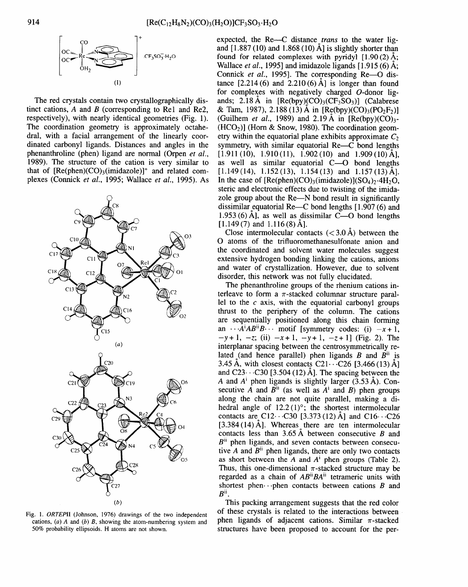

The red crystals contain two crystallographically distinct cations,  $A$  and  $B$  (corresponding to Re1 and Re2, respectively), with nearly identical geometries (Fig. 1). The coordination geometry is approximately octahedral, with a facial arrangement of the linearly coordinated carbonyl ligands. Distances and angles in the phenanthroline (phen) ligand are normal (Orpen *et al.,*  1989). The structure of the cation is very similar to that of  $[Re(phen)(CO)_3(imidazole)]^+$  and related complexes (Connick *et al.,* 1995; Wallace *et al.,* 1995). As



Fig. 1. *ORTEPII* (Johnson, 1976) drawings of the two independent cations, (a) A and (b) *B,* showing the atom-numbering system and 50% probability ellipsoids. H atoms are not shown.

expected, the Re---C distance *trans* to the water ligand  $[1.887(10)$  and  $1.868(10)$   $\AA$  is slightly shorter than found for related complexes with pyridyl  $[1.90(2)$  Å; Wallace *et al.,* 1995] and imidazole ligands [1.915 (6) A; Connick *et al.*, 1995]. The corresponding Re--O distance  $[2.214(6)$  and  $2.210(6)$  Å] is longer than found for complexes with negatively charged O-donor ligands; 2.18 Å in  $[Re(bpy)(CO)_3(CF_3SO_3)]$  (Calabrese & Tam, 1987), 2.188 (13) Å in  $[Re(bpy)(CO)_3(PO_2F_2)]$ (Guilhem *et al.*, 1989) and 2.19 Å in  $[Re(bpy)(CO)]$ <sup>2</sup>  $(HCO<sub>2</sub>)$ ] (Horn & Snow, 1980). The coordination geometry within the equatorial plane exhibits approximate  $C_2$ symmetry, with similar equatorial  $Re-C$  bond lengths  $[1.911(10), 1.910(11), 1.902(10)$  and  $1.909(10)$  Å], as well as similar equatorial  $C$ - $O$  bond lengths  $[1.149(14), 1.152(13), 1.154(13)$  and  $1.157(13)$  Å]. In the case of  $[Re(phen)(CO)_3(imidazole)](SO_4)_2.4H_2O$ , steric and electronic effects due to twisting of the imidazole group about the Re-N bond result in significantly dissimilar equatorial Re- $\sim$ C bond lengths [1.907 (6) and 1.953 (6) Å], as well as dissimilar  $C$ — $O$  bond lengths  $[1.149(7)$  and  $1.116(8)$  Å].

Close intermolecular contacts  $( $3.0 \text{ Å}$ ) between the$ O atoms of the trifluoromethanesulfonate anion and the coordinated and solvent water molecules suggest extensive hydrogen bonding linking the cations, anions and water of crystallization. However, due to solvent disorder, this network was not fully elucidated.

The phenanthroline groups of the rhenium cations interleave to form a  $\pi$ -stacked columnar structure parallel to the  $c$  axis, with the equatorial carbonyl groups thrust to the periphery of the column. The cations are sequentially positioned along this chain forming an  $\cdots \overline{A}^{\dagger}AB^{ii}B \cdots$  motif [symmetry codes: (i)  $-x+1$ ,  $-y+1$ ,  $-z$ ; (ii)  $-x+1$ ,  $-y+1$ ,  $-z+1$ ] (Fig. 2). The interplanar spacing between the centrosymmetrically related (and hence parallel) phen ligands  $\hat{B}$  and  $\hat{B}$ <sup>ii</sup> is 3.45 Å, with closest contacts  $C21 \cdots C26$  [3.466 (13) Å] and C23...C30 [3.504 (12) Å]. The spacing between the A and  $A^i$  phen ligands is slightly larger (3.53 Å). Consecutive  $\overline{A}$  and  $\overline{B}^{ij}$  (as well as  $\overline{A}^{i}$  and  $\overline{B}$ ) phen groups along the chain are not quite parallel, making a dihedral angle of  $12.2(1)^\circ$ ; the shortest intermolecular contacts are C12...C30 [3.373 (12) Å] and C16...C26  $[3.384 (14)$  Å]. Whereas there are ten intermolecular contacts less than 3.65 Å between consecutive B and  $B<sup>ii</sup>$  phen ligands, and seven contacts between consecutive A and  $B<sup>ii</sup>$  phen ligands, there are only two contacts as short between the A and  $A^i$  phen groups (Table 2). Thus, this one-dimensional  $\pi$ -stacked structure may be regarded as a chain of  $AB^{ii}BA^{ii}$  tetrameric units with shortest phen...phen contacts between cations  $B$  and  $B^{ii}$ .

This packing arrangement suggests that the red color of these crystals is related to the interactions between phen ligands of adjacent cations. Similar  $\pi$ -stacked structures have been proposed to account for the per-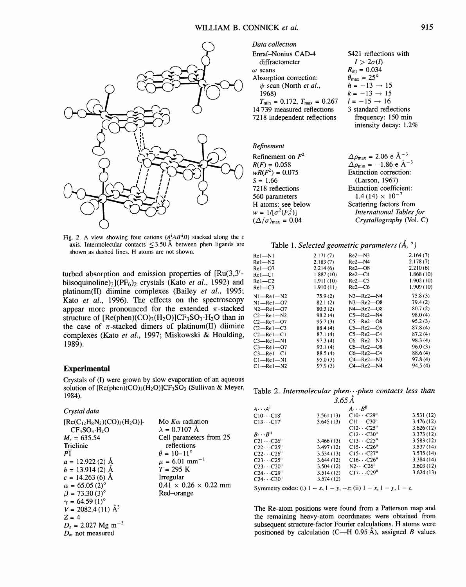

Fig. 2. A view showing four cations *(AiABiiB)* stacked along the c axis. Intermolecular contacts  $\leq$ 3.50 Å between phen ligands are shown as dashed lines. H atoms are not shown.

turbed absorption and emission properties of [Ru(3,3' biisoquinoline)<sub>3</sub>](PF<sub>6</sub>)<sub>2</sub> crystals (Kato *et al.*, 1992) and platinum(II) diimine complexes (Bailey *et al.,* 1995; Kato *et al.,* 1996). The effects on the spectroscopy appear more pronounced for the extended  $\pi$ -stacked structure of  $[Re(phen)(CO)_3(H_2O)]CF_3SO_3·H_2O$  than in the case of  $\pi$ -stacked dimers of platinum(II) diimine complexes (Kato *et al.,* 1997; Miskowski & Houlding, 1989).

### **Experimental**

Crystals of (I) were grown by slow evaporation of an aqueous solution of  $[Re(phen)(CO)_3(H_2O)]CF_3SO_3$  (Sullivan & Meyer, 1984).

# *Crystal data*

 $[Re(C_{12}H_8N_2)(CO)_3(H_2O)]$ - $CF<sub>3</sub>SO<sub>3</sub>·H<sub>2</sub>O$  $M_r = 635.54$ Triclinic  $P<sub>1</sub>$  $a = 12.922(2)$  Å  $b = 13.914(2)$  Å  $c = 14.263(6)$  Å  $\alpha = 65.05(2)^{\circ}$  $\beta = 73.30(3)$ °  $\gamma = 64.59(1)$ °  $V = 2082.4(11)$   $\mathrm{\AA}^3$  $Z=4$  $D_x = 2.027 \text{ Mg m}^{-3}$  $D_m$  not measured Mo *Ka* radiation  $\lambda = 0.7107$  Å Cell parameters from 25 reflections  $\theta = 10 - 11^{\circ}$  $\mu = 6.01$  mm<sup>-1</sup>  $T = 295 K$ Irregular  $0.41 \times 0.26 \times 0.22$  mm Red-orange

| ілата сонесноп                                      |                                    |
|-----------------------------------------------------|------------------------------------|
| Enraf-Nonius CAD-4                                  | 5421 reflections with              |
| diffractometer                                      | $I > 2\sigma(I)$                   |
| $\omega$ scans                                      | $R_{\text{in}} = 0.034$            |
| Absorption correction:                              | $\theta_{\text{max}} = 25^{\circ}$ |
| $\psi$ scan (North <i>et al.</i> ,                  | $h = -13 \rightarrow 15$           |
| 1968)                                               | $k = -13 \rightarrow 15$           |
| $T_{\text{min}} = 0.172$ , $T_{\text{max}} = 0.267$ | $l = -15 \rightarrow 16$           |
| 14 739 measured reflections                         | 3 standard reflections             |
| 7218 independent reflections                        | frequency: 150 min                 |

### *Refinement*

*Data collection* 

| Refinement on $F^2$                   | $\Delta \rho_{\text{max}} = 2.06 \text{ e } \text{\AA}^{-3}$ |
|---------------------------------------|--------------------------------------------------------------|
| $R(F) = 0.058$                        | $\Delta \rho_{\text{min}} = -1.86 \text{ e} \text{ Å}^{-3}$  |
| $wR(F^2) = 0.075$                     | Extinction correction:                                       |
| $S = 1.66$                            | (Larson, 1967)                                               |
| 7218 reflections                      | Extinction coefficient:                                      |
| 560 parameters                        | $1.4(14) \times 10^{-7}$                                     |
| H atoms: see below                    | Scattering factors from                                      |
| $w = 1/[\sigma^2(F_o^2)]$             | International Tables for                                     |
| $(\Delta/\sigma)_{\text{max}} = 0.04$ | Crystallography (Vol. C)                                     |

intensity decay: 1.2%

# Table 1. *Selected geometric parameters (Å, °)*

| $Re1 - N1$          | 2.171(7)  | $Re2 - N3$          | 2.164(7)  |
|---------------------|-----------|---------------------|-----------|
| $Re1 - N2$          | 2.183(7)  | $Re2 - N4$          | 2.178(7)  |
| $Re1 - 07$          | 2.214(6)  | $Re2 - 08$          | 2.210(6)  |
| $Re1 - C1$          | 1.887(10) | $Re2 - C4$          | 1.868(10) |
| $Re1 - C2$          | 1.911(10) | Re2—C5              | 1.902(10) |
| $Re1-C3$            | 1.910(11) | $Re2-C6$            | 1.909(10) |
| $N1 - Re1 - N2$     | 75.9(2)   | $N3 - Re2 - N4$     | 75.8(3)   |
| $N1$ —Re $1$ —O7    | 82.1(2)   | N3—Re2—O8           | 79.4(2)   |
| $N2 - Re1 - O7$     | 80.3(2)   | N4—Re2—O8           | 80.7(2)   |
| $C2$ —Rel—N2        | 98.2(4)   | $C5 - Re2 - N4$     | 98.0(4)   |
| $C2$ —Re $1$ —O7    | 95.7(3)   | $C5 - Re2 - O8$     | 95.2(3)   |
| $C2 - Re1 - C3$     | 88.4 (4)  | $C5 - Re2 - C6$     | 87.8(4)   |
| $C2$ —Rel—Cl        | 87.1(4)   | $C5 - Re2 - C4$     | 87.2(4)   |
| $C3$ —Re $1$ —N $1$ | 97.3(4)   | $C6$ —Re $2$ —N $3$ | 98.3(4)   |
| $C3$ -Rel-07        | 93.1(4)   | C6-Re2-08           | 96.0(3)   |
| $C3$ —Rel—Cl        | 88.5(4)   | C6—Re2—C4           | 88.6 (4)  |
| $Cl$ -Rel -Nl       | 95.0(3)   | $C4$ —Re $2$ —N $3$ | 97.8(4)   |
| $Cl$ -Rel - $N2$    | 97.9(3)   | $C4 - Re2 - N4$     | 94.5(4)   |

# Table 2. *Intermolecular phen...phen contacts less than*

| $3.65\AA$                     |           |                                |            |  |  |  |
|-------------------------------|-----------|--------------------------------|------------|--|--|--|
| $A \cdot \cdot \cdot A^{i}$   |           | $A \cdots B^{i}$               |            |  |  |  |
| $C10 \cdots C18$              | 3.561(13) | $C10 \cdots C29$ <sup>n</sup>  | 3.531(12)  |  |  |  |
| $C13\cdots C17'$              | 3.645(13) | $C11 \cdots C30$ <sup>n</sup>  | 3.476 (12) |  |  |  |
|                               |           | $C12 \cdots C25$ "             | 3.626(12)  |  |  |  |
| $B \cdots B^{ii}$             |           | $C12 \cdots C30$ <sup>11</sup> | 3.373(12)  |  |  |  |
| $C21 \cdots C26^n$            | 3.466(13) | $C13 \cdots C25$ "             | 3.583(12)  |  |  |  |
| $C22 \cdot \cdot \cdot C25$ " | 3.497(12) | $C15 \cdots C26$               | 3.537(14)  |  |  |  |
| $C22 \cdots C26$              | 3.534(13) | $C15 \cdots C27$               | 3.535(14)  |  |  |  |
| $C23 \cdots C25$ "            | 3.644(12) | $C16 \cdots C26$ "             | 3.384(14)  |  |  |  |
| $C23 \cdots C30$ "            | 3.504(12) | $N2 \cdots C26$ <sup>n</sup>   | 3.603(12)  |  |  |  |
| $C24 \cdots C29$              | 3.514(12) | $C17 \cdots C29$ <sup>n</sup>  | 3.624(13)  |  |  |  |
| $C24 \cdot C30$ <sup>"</sup>  | 3.574(12) |                                |            |  |  |  |

Symmetry codes: (1)  $1 - x$ ,  $1 - y$ ,  $-z$ ; (11)  $1 - x$ ,  $1 - y$ ,  $1 - z$ .

The Re-atom positions were found from a Patterson map and the remaining heavy-atom coordinates were obtained from subsequent structure-factor Fourier calculations. H atoms were positioned by calculation (C—H 0.95 Å), assigned B values